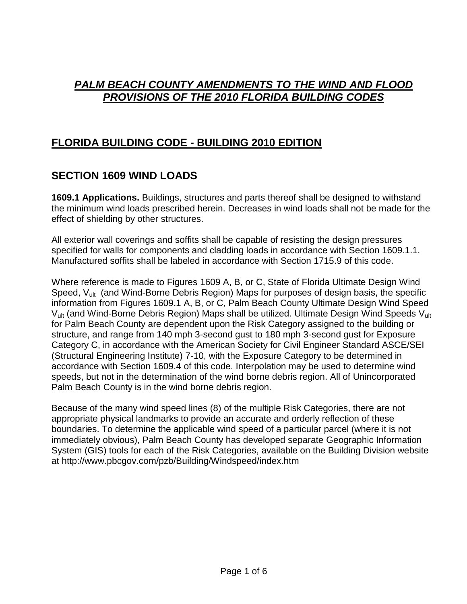#### *PALM BEACH COUNTY AMENDMENTS TO THE WIND AND FLOOD PROVISIONS OF THE 2010 FLORIDA BUILDING CODES*

#### **FLORIDA BUILDING CODE - BUILDING 2010 EDITION**

# **SECTION 1609 WIND LOADS**

**1609.1 Applications.** Buildings, structures and parts thereof shall be designed to withstand the minimum wind loads prescribed herein. Decreases in wind loads shall not be made for the effect of shielding by other structures.

All exterior wall coverings and soffits shall be capable of resisting the design pressures specified for walls for components and cladding loads in accordance with Section 1609.1.1. Manufactured soffits shall be labeled in accordance with Section 1715.9 of this code.

Where reference is made to Figures 1609 A, B, or C, State of Florida Ultimate Design Wind Speed, V<sub>ult</sub> (and Wind-Borne Debris Region) Maps for purposes of design basis, the specific information from Figures 1609.1 A, B, or C, Palm Beach County Ultimate Design Wind Speed  $V_{ult}$  (and Wind-Borne Debris Region) Maps shall be utilized. Ultimate Design Wind Speeds  $V_{ult}$ for Palm Beach County are dependent upon the Risk Category assigned to the building or structure, and range from 140 mph 3-second gust to 180 mph 3-second gust for Exposure Category C, in accordance with the American Society for Civil Engineer Standard ASCE/SEI (Structural Engineering Institute) 7-10, with the Exposure Category to be determined in accordance with Section 1609.4 of this code. Interpolation may be used to determine wind speeds, but not in the determination of the wind borne debris region. All of Unincorporated Palm Beach County is in the wind borne debris region.

Because of the many wind speed lines (8) of the multiple Risk Categories, there are not appropriate physical landmarks to provide an accurate and orderly reflection of these boundaries. To determine the applicable wind speed of a particular parcel (where it is not immediately obvious), Palm Beach County has developed separate Geographic Information System (GIS) tools for each of the Risk Categories, available on the Building Division website at http://www.pbcgov.com/pzb/Building/Windspeed/index.htm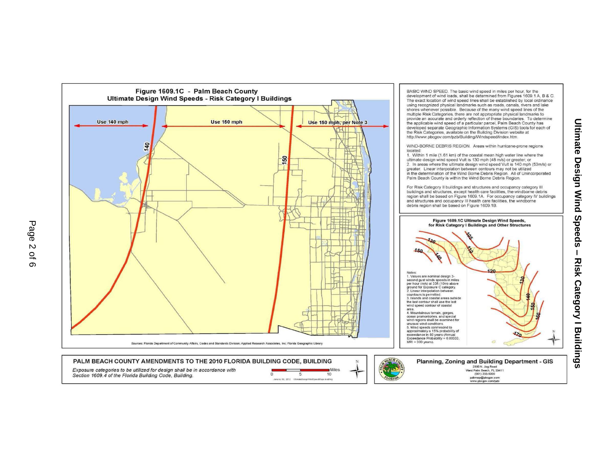

**Ultimate Design Wind Speeds**  $\mathbf{I}$ **Risk Category | Buildings**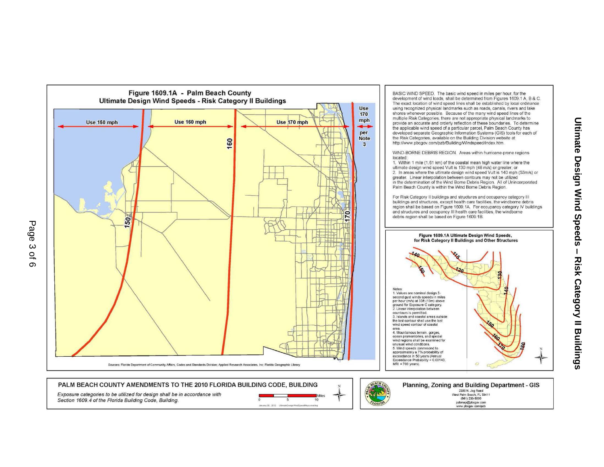

Section 1609.4 of the Florida Building Code, Building.

 $\overline{10}$ ray30; 2012 UtimataDes



(561) 233-5000 pzbmap@pbcgov.com<br>www.pbcgov.com/pzb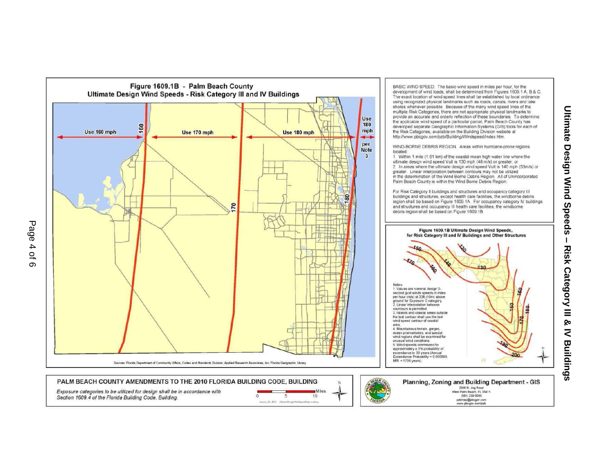

**Ultimate Design Wind Speeds** 

 $\mathbf{L}$ 

Risk Category III &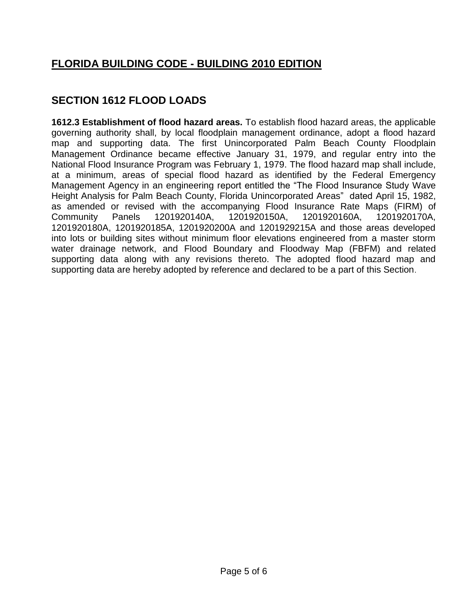# **FLORIDA BUILDING CODE - BUILDING 2010 EDITION**

## **SECTION 1612 FLOOD LOADS**

**1612.3 Establishment of flood hazard areas.** To establish flood hazard areas, the applicable governing authority shall, by local floodplain management ordinance, adopt a flood hazard map and supporting data. The first Unincorporated Palm Beach County Floodplain Management Ordinance became effective January 31, 1979, and regular entry into the National Flood Insurance Program was February 1, 1979. The flood hazard map shall include, at a minimum, areas of special flood hazard as identified by the Federal Emergency Management Agency in an engineering report entitled the "The Flood Insurance Study Wave Height Analysis for Palm Beach County, Florida Unincorporated Areas" dated April 15, 1982, as amended or revised with the accompanying Flood Insurance Rate Maps (FIRM) of Community Panels 1201920140A, 1201920150A, 1201920160A, 1201920170A, 1201920180A, 1201920185A, 1201920200A and 1201929215A and those areas developed into lots or building sites without minimum floor elevations engineered from a master storm water drainage network, and Flood Boundary and Floodway Map (FBFM) and related supporting data along with any revisions thereto. The adopted flood hazard map and supporting data are hereby adopted by reference and declared to be a part of this Section.